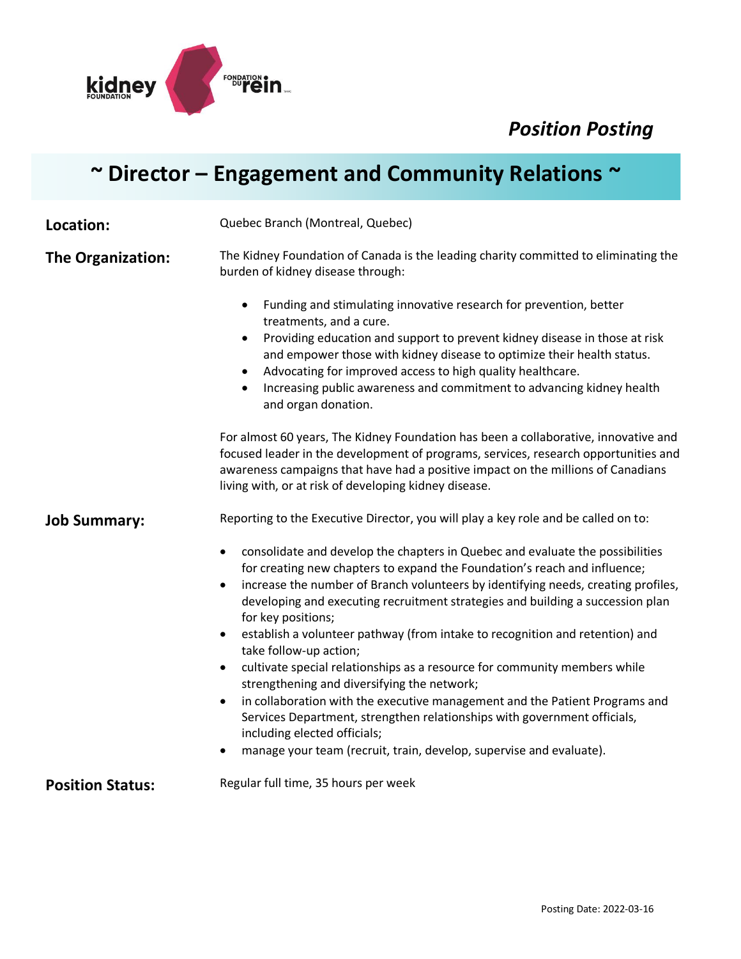

*Position Posting*

# **~ Director – Engagement and Community Relations ~**

**Location:** Quebec Branch (Montreal, Quebec) **The Organization:** The Kidney Foundation of Canada is the leading charity committed to eliminating the burden of kidney disease through: • Funding and stimulating innovative research for prevention, better treatments, and a cure. • Providing education and support to prevent kidney disease in those at risk and empower those with kidney disease to optimize their health status. • Advocating for improved access to high quality healthcare. • Increasing public awareness and commitment to advancing kidney health and organ donation. For almost 60 years, The Kidney Foundation has been a collaborative, innovative and focused leader in the development of programs, services, research opportunities and awareness campaigns that have had a positive impact on the millions of Canadians living with, or at risk of developing kidney disease. **Job Summary:** Reporting to the Executive Director, you will play a key role and be called on to: • consolidate and develop the chapters in Quebec and evaluate the possibilities for creating new chapters to expand the Foundation's reach and influence; • increase the number of Branch volunteers by identifying needs, creating profiles, developing and executing recruitment strategies and building a succession plan for key positions; • establish a volunteer pathway (from intake to recognition and retention) and take follow-up action; • cultivate special relationships as a resource for community members while strengthening and diversifying the network; • in collaboration with the executive management and the Patient Programs and Services Department, strengthen relationships with government officials, including elected officials; • manage your team (recruit, train, develop, supervise and evaluate). **Position Status:** Regular full time, 35 hours per week